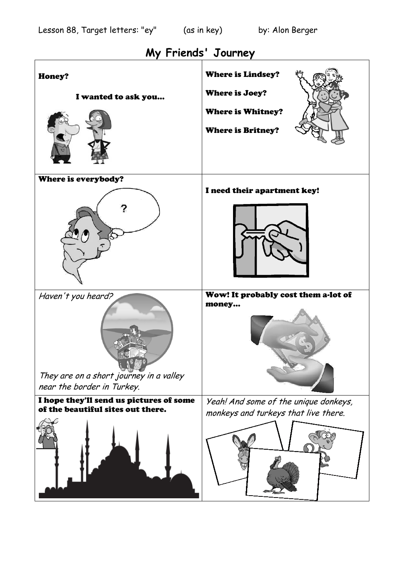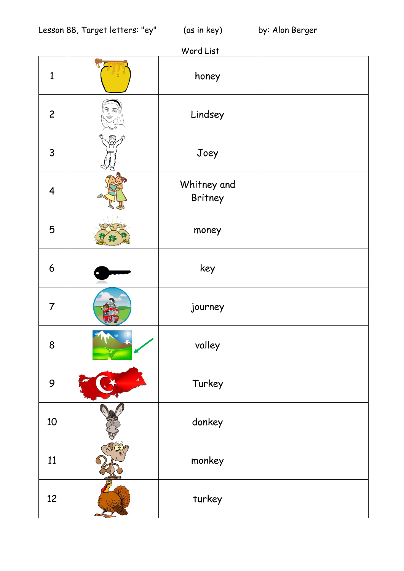## Word List

| 1                       | honey                  |  |
|-------------------------|------------------------|--|
| $\overline{c}$          | Lindsey                |  |
| $\mathsf{3}$            | Joey                   |  |
| $\overline{\mathbf{4}}$ | Whitney and<br>Britney |  |
| 5                       | money                  |  |
| $\boldsymbol{6}$        | key                    |  |
| $\overline{7}$          | journey                |  |
| 8                       | valley                 |  |
| 9                       | Turkey                 |  |
| 10                      | donkey                 |  |
| 11                      | monkey                 |  |
| 12                      | turkey                 |  |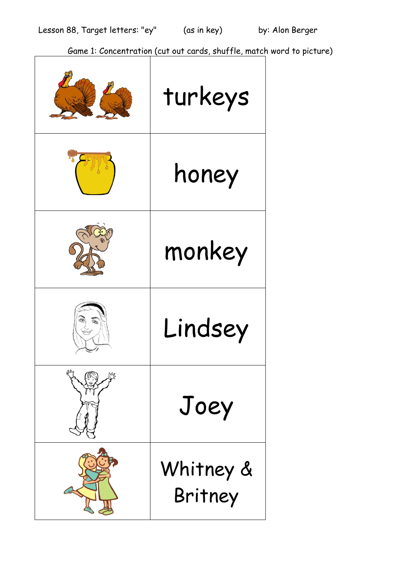Game 1: Concentration (cut out cards, shuffle, match word to picture)

| turkeys              |
|----------------------|
| honey                |
| monkey               |
| Lindsey              |
| Joey                 |
| Whitney &<br>Britney |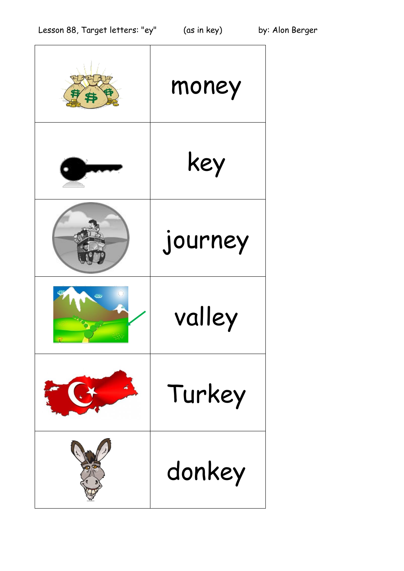|   | money   |
|---|---------|
|   | key     |
|   | journey |
| Œ | valley  |
|   | Turkey  |
|   | donkey  |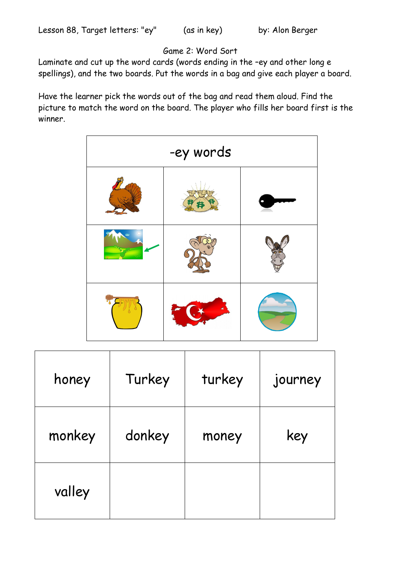## Game 2: Word Sort

Laminate and cut up the word cards (words ending in the –ey and other long e spellings), and the two boards. Put the words in a bag and give each player a board.

Have the learner pick the words out of the bag and read them aloud. Find the picture to match the word on the board. The player who fills her board first is the winner.

| -ey words |  |  |  |  |
|-----------|--|--|--|--|
|           |  |  |  |  |
|           |  |  |  |  |
|           |  |  |  |  |

| honey  | Turkey | turkey | journey |
|--------|--------|--------|---------|
| monkey | donkey | money  | key     |
| valley |        |        |         |